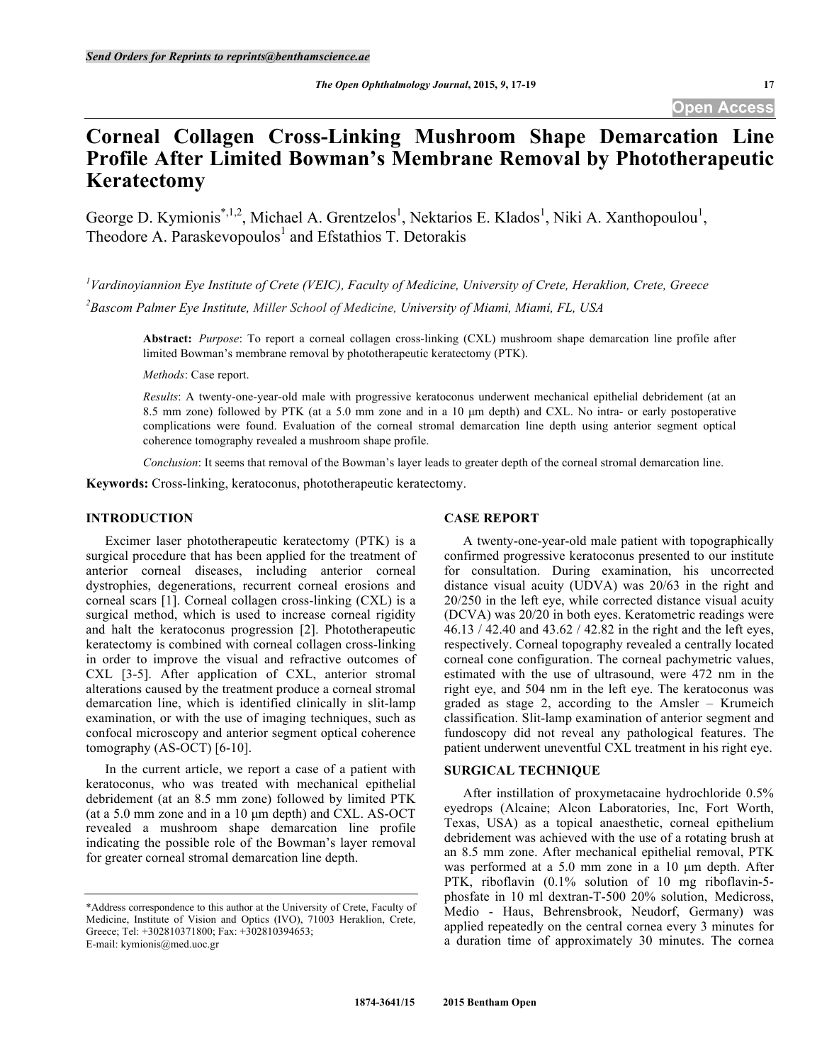# **Corneal Collagen Cross-Linking Mushroom Shape Demarcation Line Profile After Limited Bowman's Membrane Removal by Phototherapeutic Keratectomy**

George D. Kymionis<sup>\*,1,2</sup>, Michael A. Grentzelos<sup>1</sup>, Nektarios E. Klados<sup>1</sup>, Niki A. Xanthopoulou<sup>1</sup>, Theodore A. Paraskevopoulos<sup>1</sup> and Efstathios T. Detorakis

*1 Vardinoyiannion Eye Institute of Crete (VEIC), Faculty of Medicine, University of Crete, Heraklion, Crete, Greece 2 Bascom Palmer Eye Institute, Miller School of Medicine, University of Miami, Miami, FL, USA*

**Abstract:** *Purpose*: To report a corneal collagen cross-linking (CXL) mushroom shape demarcation line profile after limited Bowman's membrane removal by phototherapeutic keratectomy (PTK).

*Methods*: Case report.

*Results*: A twenty-one-year-old male with progressive keratoconus underwent mechanical epithelial debridement (at an 8.5 mm zone) followed by PTK (at a 5.0 mm zone and in a 10 µm depth) and CXL. No intra- or early postoperative complications were found. Evaluation of the corneal stromal demarcation line depth using anterior segment optical coherence tomography revealed a mushroom shape profile.

*Conclusion*: It seems that removal of the Bowman's layer leads to greater depth of the corneal stromal demarcation line.

**Keywords:** Cross-linking, keratoconus, phototherapeutic keratectomy.

### **INTRODUCTION**

Excimer laser phototherapeutic keratectomy (PTK) is a surgical procedure that has been applied for the treatment of anterior corneal diseases, including anterior corneal dystrophies, degenerations, recurrent corneal erosions and corneal scars [1]. Corneal collagen cross-linking (CXL) is a surgical method, which is used to increase corneal rigidity and halt the keratoconus progression [2]. Phototherapeutic keratectomy is combined with corneal collagen cross-linking in order to improve the visual and refractive outcomes of CXL [3-5]. After application of CXL, anterior stromal alterations caused by the treatment produce a corneal stromal demarcation line, which is identified clinically in slit-lamp examination, or with the use of imaging techniques, such as confocal microscopy and anterior segment optical coherence tomography (AS-OCT) [6-10].

In the current article, we report a case of a patient with keratoconus, who was treated with mechanical epithelial debridement (at an 8.5 mm zone) followed by limited PTK (at a 5.0 mm zone and in a 10 µm depth) and CXL. AS-OCT revealed a mushroom shape demarcation line profile indicating the possible role of the Bowman's layer removal for greater corneal stromal demarcation line depth.

#### **CASE REPORT**

A twenty-one-year-old male patient with topographically confirmed progressive keratoconus presented to our institute for consultation. During examination, his uncorrected distance visual acuity (UDVA) was 20/63 in the right and 20/250 in the left eye, while corrected distance visual acuity (DCVA) was 20/20 in both eyes. Keratometric readings were 46.13 / 42.40 and 43.62 / 42.82 in the right and the left eyes, respectively. Corneal topography revealed a centrally located corneal cone configuration. The corneal pachymetric values, estimated with the use of ultrasound, were 472 nm in the right eye, and 504 nm in the left eye. The keratoconus was graded as stage 2, according to the Amsler – Krumeich classification. Slit-lamp examination of anterior segment and fundoscopy did not reveal any pathological features. The patient underwent uneventful CXL treatment in his right eye.

#### **SURGICAL TECHNIQUE**

After instillation of proxymetacaine hydrochloride 0.5% eyedrops (Alcaine; Alcon Laboratories, Inc, Fort Worth, Texas, USA) as a topical anaesthetic, corneal epithelium debridement was achieved with the use of a rotating brush at an 8.5 mm zone. After mechanical epithelial removal, PTK was performed at a 5.0 mm zone in a 10  $\mu$ m depth. After PTK, riboflavin (0.1% solution of 10 mg riboflavin-5 phosfate in 10 ml dextran-T-500 20% solution, Medicross, Medio - Haus, Behrensbrook, Neudorf, Germany) was applied repeatedly on the central cornea every 3 minutes for a duration time of approximately 30 minutes. The cornea

<sup>\*</sup>Address correspondence to this author at the University of Crete, Faculty of Medicine, Institute of Vision and Optics (IVO), 71003 Heraklion, Crete, Greece; Tel: +302810371800; Fax: +302810394653; E-mail: kymionis@med.uoc.gr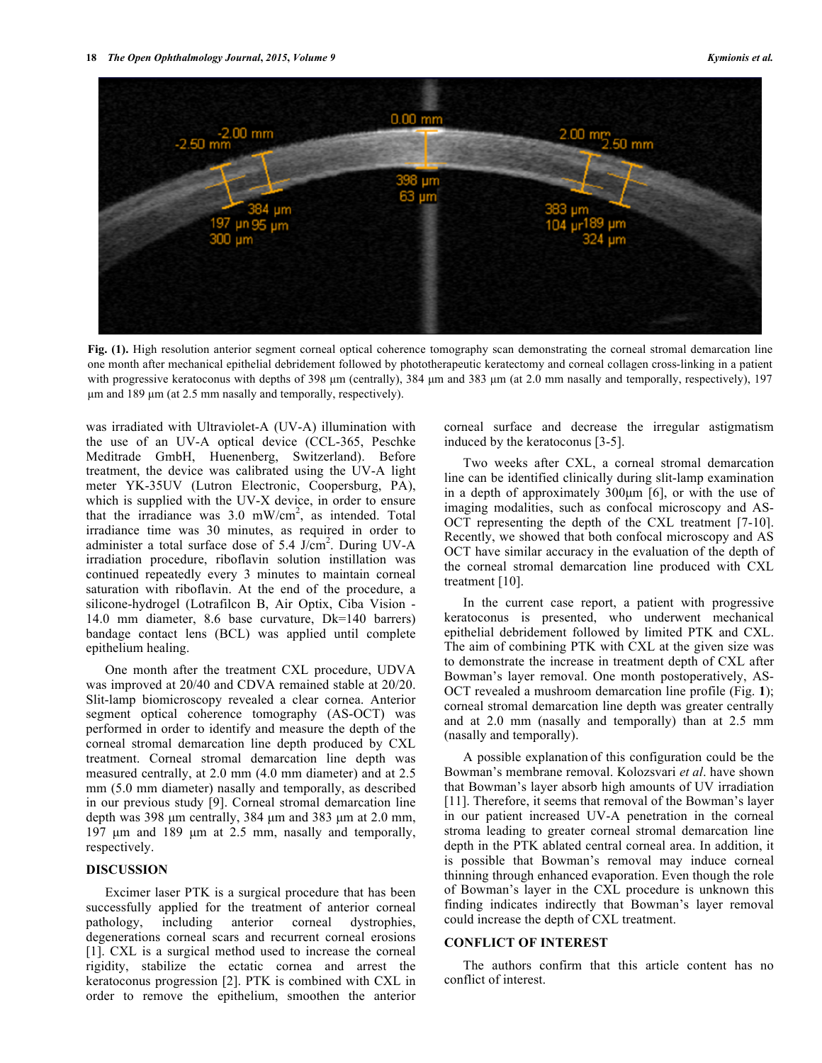

**Fig. (1).** High resolution anterior segment corneal optical coherence tomography scan demonstrating the corneal stromal demarcation line one month after mechanical epithelial debridement followed by phototherapeutic keratectomy and corneal collagen cross-linking in a patient with progressive keratoconus with depths of 398  $\mu$ m (centrally), 384  $\mu$ m and 383  $\mu$ m (at 2.0 mm nasally and temporally, respectively), 197 µm and 189 µm (at 2.5 mm nasally and temporally, respectively).

was irradiated with Ultraviolet-A (UV-A) illumination with the use of an UV-A optical device (CCL-365, Peschke Meditrade GmbH, Huenenberg, Switzerland). Before treatment, the device was calibrated using the UV-A light meter YK-35UV (Lutron Electronic, Coopersburg, PA), which is supplied with the UV-X device, in order to ensure that the irradiance was  $3.0 \, \text{mW/cm}^2$ , as intended. Total irradiance time was 30 minutes, as required in order to administer a total surface dose of  $5.4$  J/cm<sup>2</sup>. During UV-A irradiation procedure, riboflavin solution instillation was continued repeatedly every 3 minutes to maintain corneal saturation with riboflavin. At the end of the procedure, a silicone-hydrogel (Lotrafilcon B, Air Optix, Ciba Vision - 14.0 mm diameter, 8.6 base curvature, Dk=140 barrers) bandage contact lens (BCL) was applied until complete epithelium healing.

One month after the treatment CXL procedure, UDVA was improved at 20/40 and CDVA remained stable at 20/20. Slit-lamp biomicroscopy revealed a clear cornea. Anterior segment optical coherence tomography (AS-OCT) was performed in order to identify and measure the depth of the corneal stromal demarcation line depth produced by CXL treatment. Corneal stromal demarcation line depth was measured centrally, at 2.0 mm (4.0 mm diameter) and at 2.5 mm (5.0 mm diameter) nasally and temporally, as described in our previous study [9]. Corneal stromal demarcation line depth was 398 µm centrally, 384 µm and 383 µm at 2.0 mm, 197 µm and 189 µm at 2.5 mm, nasally and temporally, respectively.

## **DISCUSSION**

Excimer laser PTK is a surgical procedure that has been successfully applied for the treatment of anterior corneal pathology, including anterior corneal dystrophies, degenerations corneal scars and recurrent corneal erosions [1]. CXL is a surgical method used to increase the corneal rigidity, stabilize the ectatic cornea and arrest the keratoconus progression [2]. PTK is combined with CXL in order to remove the epithelium, smoothen the anterior corneal surface and decrease the irregular astigmatism induced by the keratoconus [3-5].

Two weeks after CXL, a corneal stromal demarcation line can be identified clinically during slit-lamp examination in a depth of approximately 300µm [6], or with the use of imaging modalities, such as confocal microscopy and AS-OCT representing the depth of the CXL treatment [7-10]. Recently, we showed that both confocal microscopy and AS OCT have similar accuracy in the evaluation of the depth of the corneal stromal demarcation line produced with CXL treatment [10].

In the current case report, a patient with progressive keratoconus is presented, who underwent mechanical epithelial debridement followed by limited PTK and CXL. The aim of combining PTK with CXL at the given size was to demonstrate the increase in treatment depth of CXL after Bowman's layer removal. One month postoperatively, AS-OCT revealed a mushroom demarcation line profile (Fig. **1**); corneal stromal demarcation line depth was greater centrally and at 2.0 mm (nasally and temporally) than at 2.5 mm (nasally and temporally).

A possible explanation of this configuration could be the Bowman's membrane removal. Kolozsvari *et al*. have shown that Bowman's layer absorb high amounts of UV irradiation [11]. Therefore, it seems that removal of the Bowman's layer in our patient increased UV-A penetration in the corneal stroma leading to greater corneal stromal demarcation line depth in the PTK ablated central corneal area. In addition, it is possible that Bowman's removal may induce corneal thinning through enhanced evaporation. Even though the role of Bowman's layer in the CXL procedure is unknown this finding indicates indirectly that Bowman's layer removal could increase the depth of CXL treatment.

#### **CONFLICT OF INTEREST**

The authors confirm that this article content has no conflict of interest.